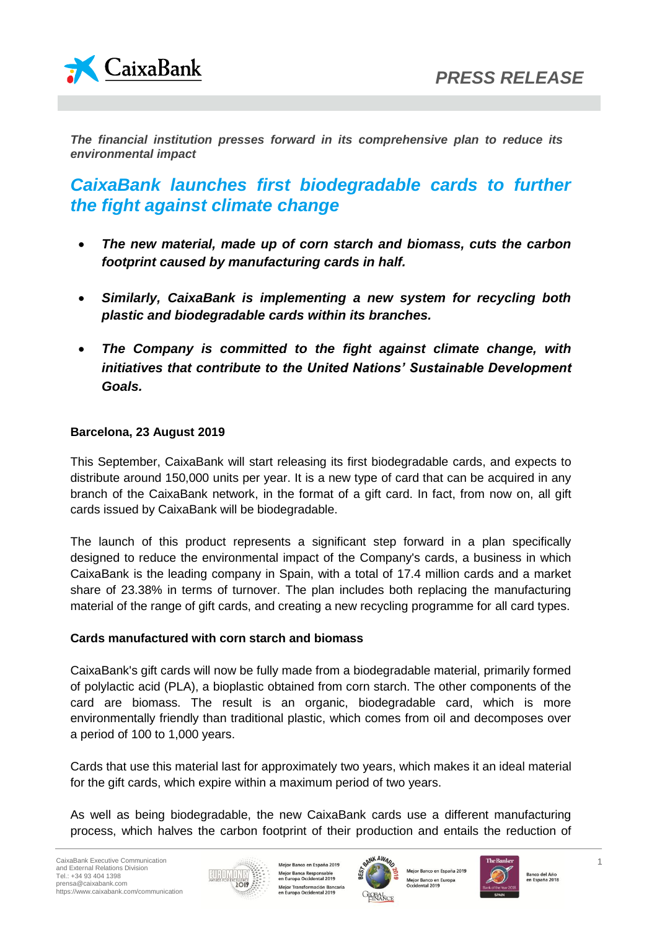



*The financial institution presses forward in its comprehensive plan to reduce its environmental impact* 

# *CaixaBank launches first biodegradable cards to further the fight against climate change*

- *The new material, made up of corn starch and biomass, cuts the carbon footprint caused by manufacturing cards in half.*
- *Similarly, CaixaBank is implementing a new system for recycling both plastic and biodegradable cards within its branches.*
- *The Company is committed to the fight against climate change, with initiatives that contribute to the United Nations' Sustainable Development Goals.*

#### **Barcelona, 23 August 2019**

This September, CaixaBank will start releasing its first biodegradable cards, and expects to distribute around 150,000 units per year. It is a new type of card that can be acquired in any branch of the CaixaBank network, in the format of a gift card. In fact, from now on, all gift cards issued by CaixaBank will be biodegradable.

The launch of this product represents a significant step forward in a plan specifically designed to reduce the environmental impact of the Company's cards, a business in which CaixaBank is the leading company in Spain, with a total of 17.4 million cards and a market share of 23.38% in terms of turnover. The plan includes both replacing the manufacturing material of the range of gift cards, and creating a new recycling programme for all card types.

## **Cards manufactured with corn starch and biomass**

CaixaBank's gift cards will now be fully made from a biodegradable material, primarily formed of polylactic acid (PLA), a bioplastic obtained from corn starch. The other components of the card are biomass. The result is an organic, biodegradable card, which is more environmentally friendly than traditional plastic, which comes from oil and decomposes over a period of 100 to 1,000 years.

Cards that use this material last for approximately two years, which makes it an ideal material for the gift cards, which expire within a maximum period of two years.

As well as being biodegradable, the new CaixaBank cards use a different manufacturing process, which halves the carbon footprint of their production and entails the reduction of



Mejor Banco en España 2019 Mejor Banca Responsable<br>en Europa Occidental 2019 Mejor Transformación Bancaria<br>en Europa Occidental 2019



Mejor Banco en España 2019 Mejor Banco en Europa<br>Occidental 2019

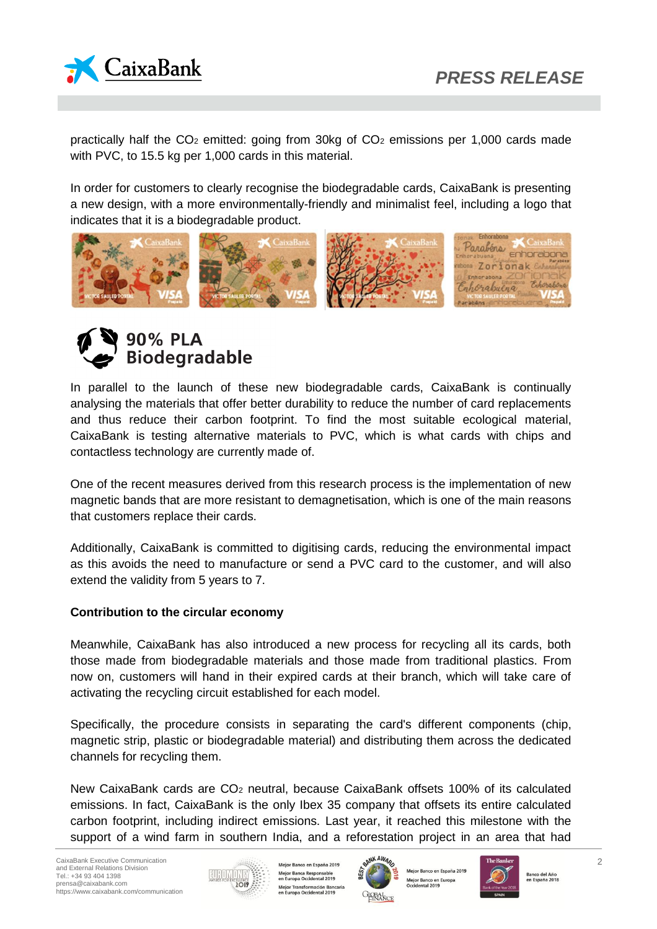

practically half the  $CO<sub>2</sub>$  emitted: going from 30kg of  $CO<sub>2</sub>$  emissions per 1,000 cards made with PVC, to 15.5 kg per 1,000 cards in this material.

In order for customers to clearly recognise the biodegradable cards, CaixaBank is presenting a new design, with a more environmentally-friendly and minimalist feel, including a logo that indicates that it is a biodegradable product.





In parallel to the launch of these new biodegradable cards, CaixaBank is continually analysing the materials that offer better durability to reduce the number of card replacements and thus reduce their carbon footprint. To find the most suitable ecological material, CaixaBank is testing alternative materials to PVC, which is what cards with chips and contactless technology are currently made of.

One of the recent measures derived from this research process is the implementation of new magnetic bands that are more resistant to demagnetisation, which is one of the main reasons that customers replace their cards.

Additionally, CaixaBank is committed to digitising cards, reducing the environmental impact as this avoids the need to manufacture or send a PVC card to the customer, and will also extend the validity from 5 years to 7.

#### **Contribution to the circular economy**

Meanwhile, CaixaBank has also introduced a new process for recycling all its cards, both those made from biodegradable materials and those made from traditional plastics. From now on, customers will hand in their expired cards at their branch, which will take care of activating the recycling circuit established for each model.

Specifically, the procedure consists in separating the card's different components (chip, magnetic strip, plastic or biodegradable material) and distributing them across the dedicated channels for recycling them.

New CaixaBank cards are CO<sup>2</sup> neutral, because CaixaBank offsets 100% of its calculated emissions. In fact, CaixaBank is the only Ibex 35 company that offsets its entire calculated carbon footprint, including indirect emissions. Last year, it reached this milestone with the support of a wind farm in southern India, and a reforestation project in an area that had



Mejor Banco en España 2019 Mejor Banca Responsable<br>en Europa Occidental 2019 Mejor Transformación Bancaria<br>en Europa Occidental 2019



Mejor Banco en España 2019 Mejor Banco en Europa<br>Occidental 2019